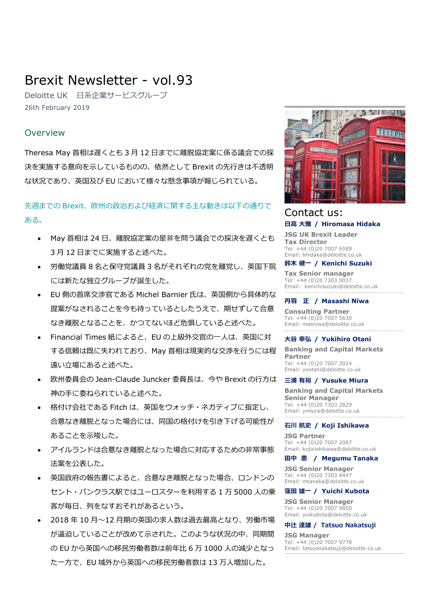# Brexit Newsletter - vol.93

Deloitte UK 日系企業サービスグループ 26th February 2019

# Overview

Theresa May 首相は遅くとも 3 月 12 日までに離脱協定案に係る議会での採 決を実施する意向を示しているものの、依然として Brexit の先行きは不透明 な状況であり、英国及び EU において様々な懸念事項が報じられている。

# 先週までの Brexit、欧州の政治および経済に関する主な動きは以下の通りで ある。

- May 首相は 24 日、離脱協定案の是非を問う議会での採決を遅くとも 3 月 12 日までに実施すると述べた。
- 労働党議員 8 名と保守党議員 3 名がそれぞれの党を離党し、英国下院 には新たな独立グループが誕生した。
- EU 側の首席交渉官である Michel Barnier 氏は、英国側から具体的な 提案がなされることを今も待っているとしたうえで、期せずして合意 なき離脱となることを、かつてないほど危惧していると述べた。
- Financial Times 紙によると、EU の上級外交官の一人は、英国に対 する信頼は既に失われており、May 首相は現実的な交渉を行うには程 遠い立場にあると述べた。
- 欧州委員会の Jean-Claude Juncker 委員⾧は、今や Brexit の行方は 神の手に委ねられていると述べた。
- 格付け会社である Fitch は、英国をウォッチ・ネガティブに指定し、 合意なき離脱となった場合には、同国の格付けを引き下げる可能性が あることを示唆した。
- アイルランドは合意なき離脱となった場合に対応するための非常事態 法案を公表した。
- 英国政府の報告書によると、合意なき離脱となった場合、ロンドンの セント・パンクラス駅ではユーロスターを利用する 1 万 5000 人の乗 客が毎日、列をなすおそれがあるという。
- 2018 年 10 月~12 月期の英国の求人数は過去最高となり、労働市場 が逼迫していることが改めて示された。このような状況の中、同期間 の EU から英国への移民労働者数は前年比 6 万 1000 人の減少となっ た一方で、EU 域外から英国への移民労働者数は 13 万人増加した。



# Contact us: 日高 大雅 / Hiromasa Hidaka

JSG UK Brexit Leader Tax Director Tel: +44 (0)20 7007 6589 Email: hhidaka@deloitte.co.uk

### 鈴木 健一 / Kenichi Suzuki

Tax Senior manager Tel: +44 (0)20 7303 0037 Email: kenichisuzuki@deloitte.co.uk ----------------------------------------------------

#### 丹羽 正 / Masashi Niwa

Consulting Partner Tel: +44 (0)20 7007 5630 Email: masniwa@deloitte.co.uk ----------------------------------------------------

## 大谷 幸弘 / Yukihiro Otani

Banking and Capital Markets Partner Tel: +44 (0)20 7007 2024 Email: yootani@deloitte.co.uk

### 三浦 有裕 / Yusuke Miura

Banking and Capital Markets Senior Manager Tel: +44 (0)20 7303 2829 Email: ymiura@deloitte.co.uk ----------------------------------------------------

# 石川 航史 / Koji Ishikawa

JSG Partner Tel: +44 (0)20 7007 2067 Email: kojixishikawa@deloitte.co.uk

#### 田中 恵 / Megumu Tanaka

JSG Senior Manager Tel: +44 (0)20 7303 8447 Email: mtanaka@deloitte.co.uk

### 窪田 雄一 / Yuichi Kubota

JSG Senior Manager Tel: +44 (0)20 7007 9850 Email: yuikubota@deloitte.co.uk

### 中辻 達雄 / Tatsuo Nakatsuji

JSG Manager Tel: +44 (0)20 7007 9778 Email: tatsuonakatsuji@deloitte.co.uk